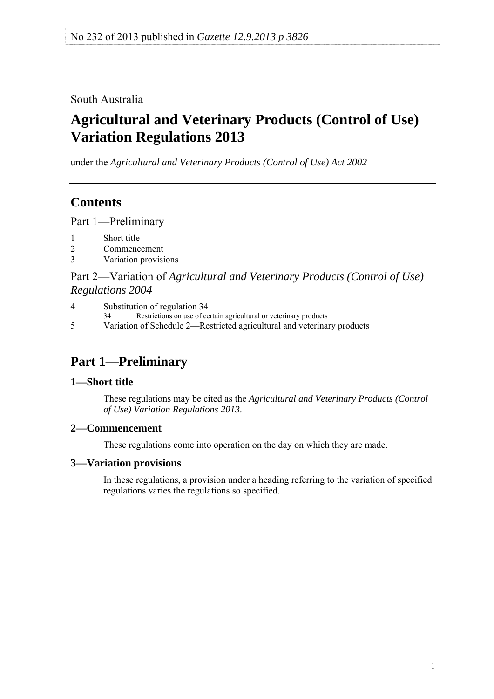<span id="page-0-0"></span>South Australia

# **Agricultural and Veterinary Products (Control of Use) Variation Regulations 2013**

under the *Agricultural and Veterinary Products (Control of Use) Act 2002*

# **Contents**

[Part 1—Preliminary](#page-0-0)

- [1 Short title](#page-0-0)
- [2 Commencement](#page-0-0)
- [3 Variation provisions](#page-0-0)

Part 2—Variation of *[Agricultural and Veterinary Products \(Control of Use\)](#page-1-0)  [Regulations 2004](#page-1-0)*

[4 Substitution of regulation 34](#page-1-0)

[34 Restrictions on use of certain agricultural or veterinary products](#page-0-0) 

[5 Variation of Schedule 2—Restricted agricultural and veterinary products](#page-3-0)

# **Part 1—Preliminary**

## **1—Short title**

These regulations may be cited as the *Agricultural and Veterinary Products (Control of Use) Variation Regulations 2013*.

## **2—Commencement**

These regulations come into operation on the day on which they are made.

## **3—Variation provisions**

In these regulations, a provision under a heading referring to the variation of specified regulations varies the regulations so specified.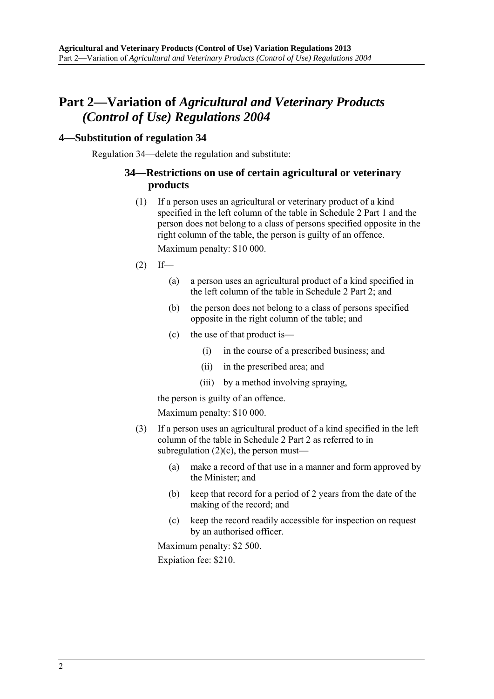## <span id="page-1-0"></span>**Part 2—Variation of** *Agricultural and Veterinary Products (Control of Use) Regulations 2004*

#### **4—Substitution of regulation 34**

Regulation 34—delete the regulation and substitute:

#### **34—Restrictions on use of certain agricultural or veterinary products**

 (1) If a person uses an agricultural or veterinary product of a kind specified in the left column of the table in Schedule 2 Part 1 and the person does not belong to a class of persons specified opposite in the right column of the table, the person is guilty of an offence.

Maximum penalty: \$10 000.

- $(2)$  If—
	- (a) a person uses an agricultural product of a kind specified in the left column of the table in Schedule 2 Part 2; and
	- (b) the person does not belong to a class of persons specified opposite in the right column of the table; and
	- (c) the use of that product is—
		- (i) in the course of a prescribed business; and
		- (ii) in the prescribed area; and
		- (iii) by a method involving spraying,

the person is guilty of an offence.

Maximum penalty: \$10 000.

- (3) If a person uses an agricultural product of a kind specified in the left column of the table in Schedule 2 Part 2 as referred to in subregulation  $(2)(c)$ , the person must—
	- (a) make a record of that use in a manner and form approved by the Minister; and
	- (b) keep that record for a period of 2 years from the date of the making of the record; and
	- (c) keep the record readily accessible for inspection on request by an authorised officer.

Maximum penalty: \$2 500.

Expiation fee: \$210.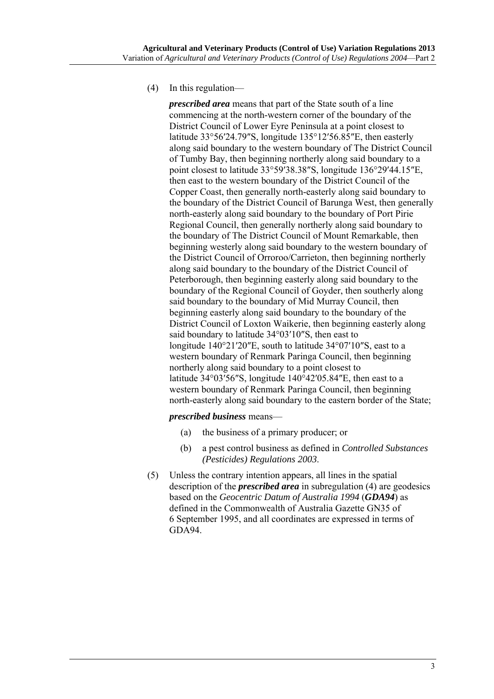<span id="page-2-0"></span>(4) In this regulation—

*prescribed area* means that part of the State south of a line commencing at the north-western corner of the boundary of the District Council of Lower Eyre Peninsula at a point closest to latitude 33°56′24.79″S, longitude 135°12′56.85″E, then easterly along said boundary to the western boundary of The District Council of Tumby Bay, then beginning northerly along said boundary to a point closest to latitude 33°59′38.38″S, longitude 136°29′44.15″E, then east to the western boundary of the District Council of the Copper Coast, then generally north-easterly along said boundary to the boundary of the District Council of Barunga West, then generally north-easterly along said boundary to the boundary of Port Pirie Regional Council, then generally northerly along said boundary to the boundary of The District Council of Mount Remarkable, then beginning westerly along said boundary to the western boundary of the District Council of Orroroo/Carrieton, then beginning northerly along said boundary to the boundary of the District Council of Peterborough, then beginning easterly along said boundary to the boundary of the Regional Council of Goyder, then southerly along said boundary to the boundary of Mid Murray Council, then beginning easterly along said boundary to the boundary of the District Council of Loxton Waikerie, then beginning easterly along said boundary to latitude 34°03′10″S, then east to longitude 140°21′20″E, south to latitude 34°07′10″S, east to a western boundary of Renmark Paringa Council, then beginning northerly along said boundary to a point closest to latitude 34°03′56″S, longitude 140°42′05.84″E, then east to a western boundary of Renmark Paringa Council, then beginning north-easterly along said boundary to the eastern border of the State;

#### *prescribed business* means—

- (a) the business of a primary producer; or
- (b) a pest control business as defined in *[Controlled Substances](http://www.legislation.sa.gov.au/index.aspx?action=legref&type=subordleg&legtitle=Controlled%20Substances%20(Pesticides)%20Regulations%202003)  [\(Pesticides\) Regulations 2003](http://www.legislation.sa.gov.au/index.aspx?action=legref&type=subordleg&legtitle=Controlled%20Substances%20(Pesticides)%20Regulations%202003)*.
- (5) Unless the contrary intention appears, all lines in the spatial description of the *prescribed area* in [subregulation \(4\)](#page-2-0) are geodesics based on the *Geocentric Datum of Australia 1994* (*GDA94*) as defined in the Commonwealth of Australia Gazette GN35 of 6 September 1995, and all coordinates are expressed in terms of GDA94.